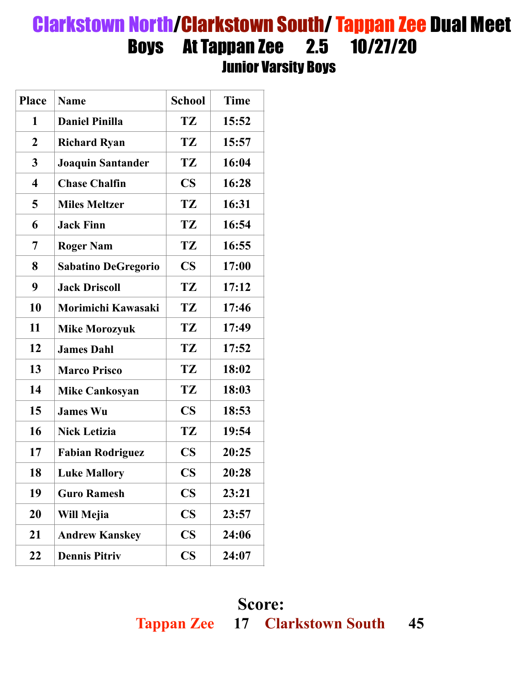## Clarkstown North/Clarkstown South/ Tappan Zee Dual Meet Boys At Tappan Zee 2.5 10/27/20 Junior Varsity Boys

| <b>Place</b>            | <b>Name</b>                | <b>School</b>          | <b>Time</b> |
|-------------------------|----------------------------|------------------------|-------------|
| 1                       | <b>Daniel Pinilla</b>      | TZ                     | 15:52       |
| $\overline{2}$          | <b>Richard Ryan</b>        | TZ                     | 15:57       |
| 3                       | <b>Joaquin Santander</b>   | TZ                     | 16:04       |
| $\overline{\mathbf{4}}$ | <b>Chase Chalfin</b>       | $\overline{\text{CS}}$ | 16:28       |
| 5                       | <b>Miles Meltzer</b>       | TZ                     | 16:31       |
| 6                       | <b>Jack Finn</b>           | TZ                     | 16:54       |
| 7                       | <b>Roger Nam</b>           | TZ                     | 16:55       |
| 8                       | <b>Sabatino DeGregorio</b> | $\overline{\text{CS}}$ | 17:00       |
| 9                       | <b>Jack Driscoll</b>       | TZ                     | 17:12       |
| 10                      | Morimichi Kawasaki         | TZ                     | 17:46       |
| 11                      | <b>Mike Morozyuk</b>       | TZ                     | 17:49       |
| 12                      | <b>James Dahl</b>          | TZ                     | 17:52       |
| 13                      | <b>Marco Prisco</b>        | TZ                     | 18:02       |
| 14                      | <b>Mike Cankosyan</b>      | TZ                     | 18:03       |
| 15                      | <b>James Wu</b>            | $\overline{\text{CS}}$ | 18:53       |
| 16                      | <b>Nick Letizia</b>        | TZ                     | 19:54       |
| 17                      | <b>Fabian Rodriguez</b>    | $\mathbf{CS}$          | 20:25       |
| 18                      | <b>Luke Mallory</b>        | $\mathbf{CS}$          | 20:28       |
| 19                      | <b>Guro Ramesh</b>         | $\mathbf{CS}$          | 23:21       |
| 20                      | Will Mejia                 | $\mathbf{CS}$          | 23:57       |
| 21                      | <b>Andrew Kanskey</b>      | $\mathbf{CS}$          | 24:06       |
| 22                      | <b>Dennis Pitriv</b>       | $\mathbf{CS}$          | 24:07       |